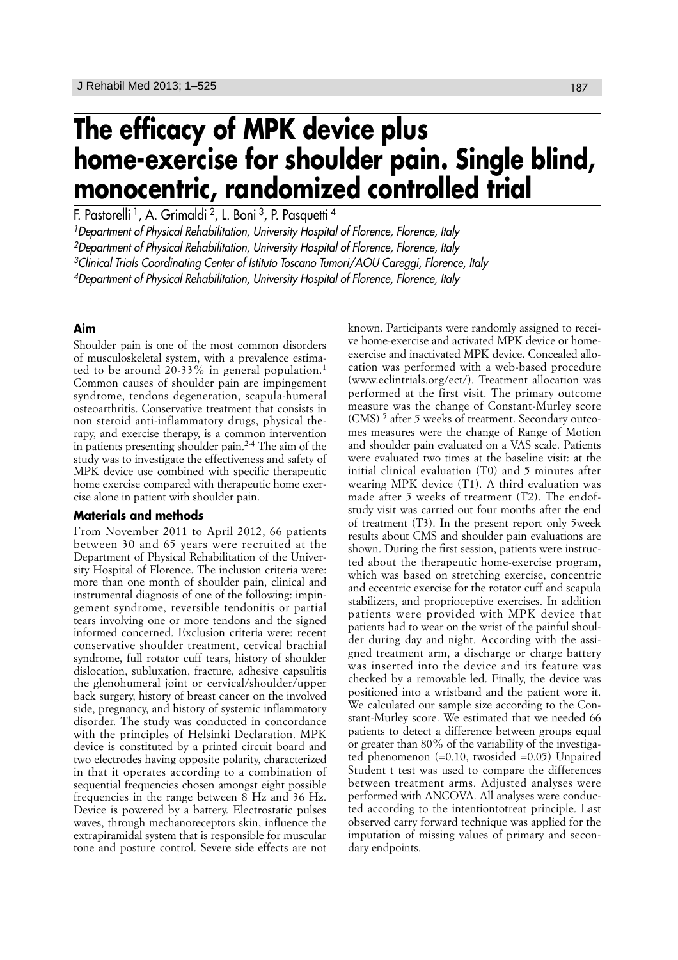# **The efficacy of MPK device plus home-exercise for shoulder pain. Single blind, monocentric, randomized controlled trial**

F. Pastorelli<sup>1</sup>, A. Grimaldi<sup>2</sup>, L. Boni<sup>3</sup>, P. Pasquetti<sup>4</sup>

<sup>1</sup>Department of Physical Rehabilitation, University Hospital of Florence, Florence, Italy

2Department of Physical Rehabilitation, University Hospital of Florence, Florence, Italy

<sup>3</sup>Clinical Trials Coordinating Center of Istituto Toscano Tumori/AOU Careggi, Florence, Italy

4Department of Physical Rehabilitation, University Hospital of Florence, Florence, Italy

## **Aim**

Shoulder pain is one of the most common disorders of musculoskeletal system, with a prevalence estimated to be around 20-33% in general population.<sup>1</sup> Common causes of shoulder pain are impingement syndrome, tendons degeneration, scapula-humeral osteoarthritis. Conservative treatment that consists in non steroid anti-inflammatory drugs, physical therapy, and exercise therapy, is a common intervention in patients presenting shoulder pain.2-4 The aim of the study was to investigate the effectiveness and safety of MPK device use combined with specific therapeutic home exercise compared with therapeutic home exercise alone in patient with shoulder pain.

### **Materials and methods**

From November 2011 to April 2012, 66 patients between 30 and 65 years were recruited at the Department of Physical Rehabilitation of the University Hospital of Florence. The inclusion criteria were: more than one month of shoulder pain, clinical and instrumental diagnosis of one of the following: impingement syndrome, reversible tendonitis or partial tears involving one or more tendons and the signed informed concerned. Exclusion criteria were: recent conservative shoulder treatment, cervical brachial syndrome, full rotator cuff tears, history of shoulder dislocation, subluxation, fracture, adhesive capsulitis the glenohumeral joint or cervical/shoulder/upper back surgery, history of breast cancer on the involved side, pregnancy, and history of systemic inflammatory disorder. The study was conducted in concordance with the principles of Helsinki Declaration. MPK device is constituted by a printed circuit board and two electrodes having opposite polarity, characterized in that it operates according to a combination of sequential frequencies chosen amongst eight possible frequencies in the range between 8 Hz and 36 Hz. Device is powered by a battery. Electrostatic pulses waves, through mechanoreceptors skin, influence the extrapiramidal system that is responsible for muscular tone and posture control. Severe side effects are not

known. Participants were randomly assigned to receive home-exercise and activated MPK device or homeexercise and inactivated MPK device. Concealed allocation was performed with a web-based procedure (www.eclintrials.org/ect/). Treatment allocation was performed at the first visit. The primary outcome measure was the change of Constant-Murley score (CMS)<sup>5</sup> after 5 weeks of treatment. Secondary outcomes measures were the change of Range of Motion and shoulder pain evaluated on a VAS scale. Patients were evaluated two times at the baseline visit: at the initial clinical evaluation (T0) and 5 minutes after wearing MPK device (T1). A third evaluation was made after 5 weeks of treatment (T2). The endofstudy visit was carried out four months after the end of treatment (T3). In the present report only 5week results about CMS and shoulder pain evaluations are shown. During the first session, patients were instructed about the therapeutic home-exercise program, which was based on stretching exercise, concentric and eccentric exercise for the rotator cuff and scapula stabilizers, and proprioceptive exercises. In addition patients were provided with MPK device that patients had to wear on the wrist of the painful shoulder during day and night. According with the assigned treatment arm, a discharge or charge battery was inserted into the device and its feature was checked by a removable led. Finally, the device was positioned into a wristband and the patient wore it. We calculated our sample size according to the Constant-Murley score. We estimated that we needed 66 patients to detect a difference between groups equal or greater than 80% of the variability of the investigated phenomenon (=0.10, twosided =0.05) Unpaired Student t test was used to compare the differences between treatment arms. Adjusted analyses were performed with ANCOVA. All analyses were conducted according to the intentiontotreat principle. Last observed carry forward technique was applied for the imputation of missing values of primary and secondary endpoints.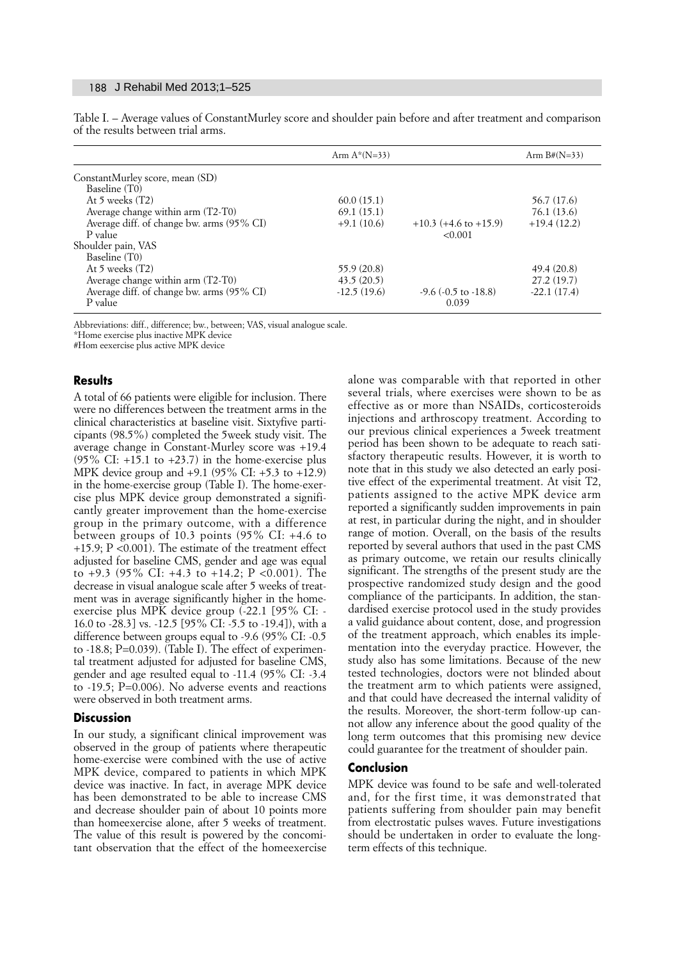#### 188 J Rehabil Med 2013;1–525

|                                           | Arm $A^*(N=33)$ |                              | Arm $B#(N=33)$ |
|-------------------------------------------|-----------------|------------------------------|----------------|
| ConstantMurley score, mean (SD)           |                 |                              |                |
| Baseline (T0)                             |                 |                              |                |
| At 5 weeks $(T2)$                         | 60.0(15.1)      |                              | 56.7 (17.6)    |
| Average change within arm (T2-T0)         | 69.1(15.1)      |                              | 76.1(13.6)     |
| Average diff. of change bw. arms (95% CI) | $+9.1(10.6)$    | $+10.3$ (+4.6 to +15.9)      | $+19.4(12.2)$  |
| P value                                   |                 | < 0.001                      |                |
| Shoulder pain, VAS                        |                 |                              |                |
| Baseline (T0)                             |                 |                              |                |
| At 5 weeks $(T2)$                         | 55.9 (20.8)     |                              | 49.4 (20.8)    |
| Average change within arm (T2-T0)         | 43.5(20.5)      |                              | 27.2(19.7)     |
| Average diff. of change bw. arms (95% CI) | $-12.5(19.6)$   | $-9.6$ ( $-0.5$ to $-18.8$ ) | $-22.1(17.4)$  |
| P value                                   |                 | 0.039                        |                |

Table I. – Average values of ConstantMurley score and shoulder pain before and after treatment and comparison of the results between trial arms.

Abbreviations: diff., difference; bw., between; VAS, visual analogue scale.

\*Home exercise plus inactive MPK device

#Hom eexercise plus active MPK device

### **Results**

A total of 66 patients were eligible for inclusion. There were no differences between the treatment arms in the clinical characteristics at baseline visit. Sixtyfive participants (98.5%) completed the 5week study visit. The average change in Constant-Murley score was +19.4  $(95\% \text{ CI}: +15.1 \text{ to } +23.7)$  in the home-exercise plus MPK device group and +9.1 (95% CI: +5.3 to +12.9) in the home-exercise group (Table I). The home-exercise plus MPK device group demonstrated a significantly greater improvement than the home-exercise group in the primary outcome, with a difference between groups of 10.3 points (95% CI: +4.6 to +15.9; P <0.001). The estimate of the treatment effect adjusted for baseline CMS, gender and age was equal to +9.3 (95% CI: +4.3 to +14.2; P <0.001). The decrease in visual analogue scale after 5 weeks of treatment was in average significantly higher in the homeexercise plus MPK device group (-22.1 [95% CI: - 16.0 to -28.3] vs. -12.5 [95% CI: -5.5 to -19.4]), with a difference between groups equal to -9.6 (95% CI: -0.5 to -18.8; P=0.039). (Table I). The effect of experimental treatment adjusted for adjusted for baseline CMS, gender and age resulted equal to -11.4 (95% CI: -3.4 to -19.5; P=0.006). No adverse events and reactions were observed in both treatment arms.

#### **Discussion**

In our study, a significant clinical improvement was observed in the group of patients where therapeutic home-exercise were combined with the use of active MPK device, compared to patients in which MPK device was inactive. In fact, in average MPK device has been demonstrated to be able to increase CMS and decrease shoulder pain of about 10 points more than homeexercise alone, after 5 weeks of treatment. The value of this result is powered by the concomitant observation that the effect of the homeexercise

alone was comparable with that reported in other several trials, where exercises were shown to be as effective as or more than NSAIDs, corticosteroids injections and arthroscopy treatment. According to our previous clinical experiences a 5week treatment period has been shown to be adequate to reach satisfactory therapeutic results. However, it is worth to note that in this study we also detected an early positive effect of the experimental treatment. At visit T2, patients assigned to the active MPK device arm reported a significantly sudden improvements in pain at rest, in particular during the night, and in shoulder range of motion. Overall, on the basis of the results reported by several authors that used in the past CMS as primary outcome, we retain our results clinically significant. The strengths of the present study are the prospective randomized study design and the good compliance of the participants. In addition, the standardised exercise protocol used in the study provides a valid guidance about content, dose, and progression of the treatment approach, which enables its implementation into the everyday practice. However, the study also has some limitations. Because of the new tested technologies, doctors were not blinded about the treatment arm to which patients were assigned, and that could have decreased the internal validity of the results. Moreover, the short-term follow-up cannot allow any inference about the good quality of the long term outcomes that this promising new device could guarantee for the treatment of shoulder pain.

### **Conclusion**

MPK device was found to be safe and well-tolerated and, for the first time, it was demonstrated that patients suffering from shoulder pain may benefit from electrostatic pulses waves. Future investigations should be undertaken in order to evaluate the longterm effects of this technique.